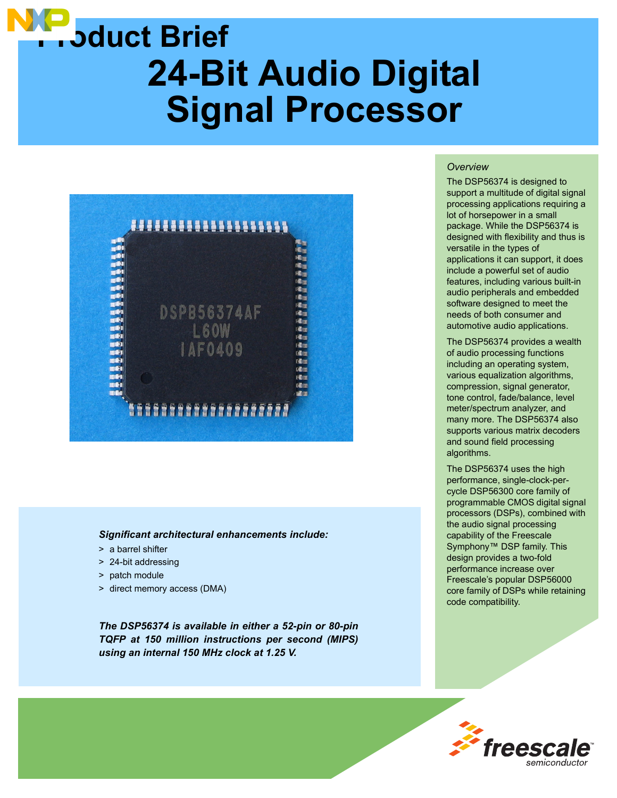# **24-Bit Audio Digital Signal Processor Product Brief**



#### *Significant architectural enhancements include:*

- > a barrel shifter
- > 24-bit addressing
- > patch module
- > direct memory access (DMA)

*The DSP56374 is available in either a 52-pin or 80-pin TQFP at 150 million instructions per second (MIPS) using an internal 150 MHz clock at 1.25 V.*

#### *Overview*

The DSP56374 is designed to support a multitude of digital signal processing applications requiring a lot of horsepower in a small package. While the DSP56374 is designed with flexibility and thus is versatile in the types of applications it can support, it does include a powerful set of audio features, including various built-in audio peripherals and embedded software designed to meet the needs of both consumer and automotive audio applications.

The DSP56374 provides a wealth of audio processing functions including an operating system, various equalization algorithms, compression, signal generator, tone control, fade/balance, level meter/spectrum analyzer, and many more. The DSP56374 also supports various matrix decoders and sound field processing algorithms.

The DSP56374 uses the high performance, single-clock-percycle DSP56300 core family of programmable CMOS digital signal processors (DSPs), combined with the audio signal processing capability of the Freescale Symphony™ DSP family. This design provides a two-fold performance increase over Freescale's popular DSP56000 core family of DSPs while retaining code compatibility.

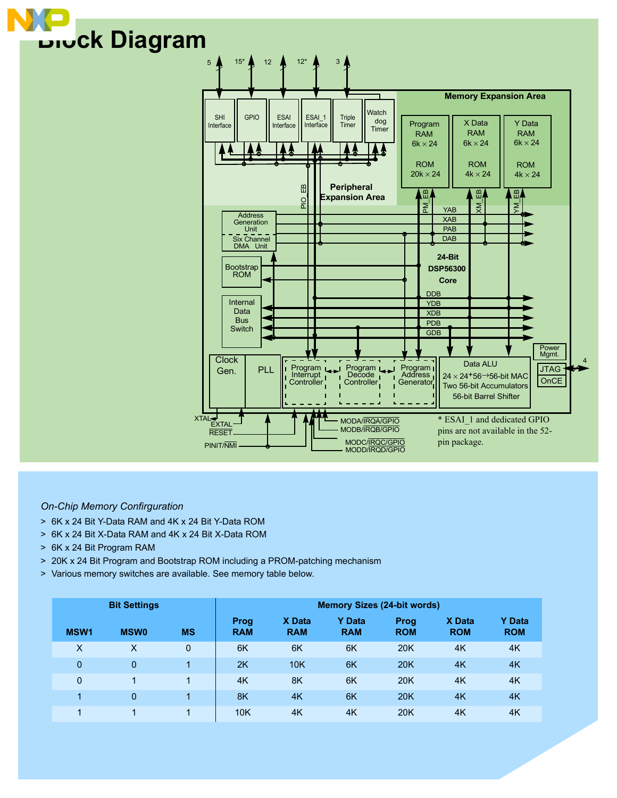



## *On-Chip Memory Confirguration*

- > 6K x 24 Bit Y-Data RAM and 4K x 24 Bit Y-Data ROM
- > 6K x 24 Bit X-Data RAM and 4K x 24 Bit X-Data ROM
- > 6K x 24 Bit Program RAM
- > 20K x 24 Bit Program and Bootstrap ROM including a PROM-patching mechanism
- > Various memory switches are available. See memory table below.

| <b>Bit Settings</b> |             |              | <b>Memory Sizes (24-bit words)</b> |                      |                             |                    |                      |                             |
|---------------------|-------------|--------------|------------------------------------|----------------------|-----------------------------|--------------------|----------------------|-----------------------------|
| MSW <sub>1</sub>    | <b>MSW0</b> | <b>MS</b>    | Prog<br><b>RAM</b>                 | X Data<br><b>RAM</b> | <b>Y</b> Data<br><b>RAM</b> | Prog<br><b>ROM</b> | X Data<br><b>ROM</b> | <b>Y</b> Data<br><b>ROM</b> |
| X                   | X           | $\mathbf{0}$ | 6K                                 | 6K                   | 6K                          | <b>20K</b>         | 4K                   | 4K                          |
| $\mathbf{0}$        | 0           | 1            | 2K                                 | 10K                  | 6K                          | <b>20K</b>         | 4K                   | 4K                          |
| $\mathbf 0$         | 1           | 1            | 4K                                 | 8K                   | 6K                          | <b>20K</b>         | 4K                   | 4K                          |
| 4                   | 0           | 4            | 8K                                 | 4K                   | 6K                          | <b>20K</b>         | 4K                   | 4K                          |
|                     |             | 4            | 10K                                | 4K                   | 4K                          | 20K                | 4K                   | 4K                          |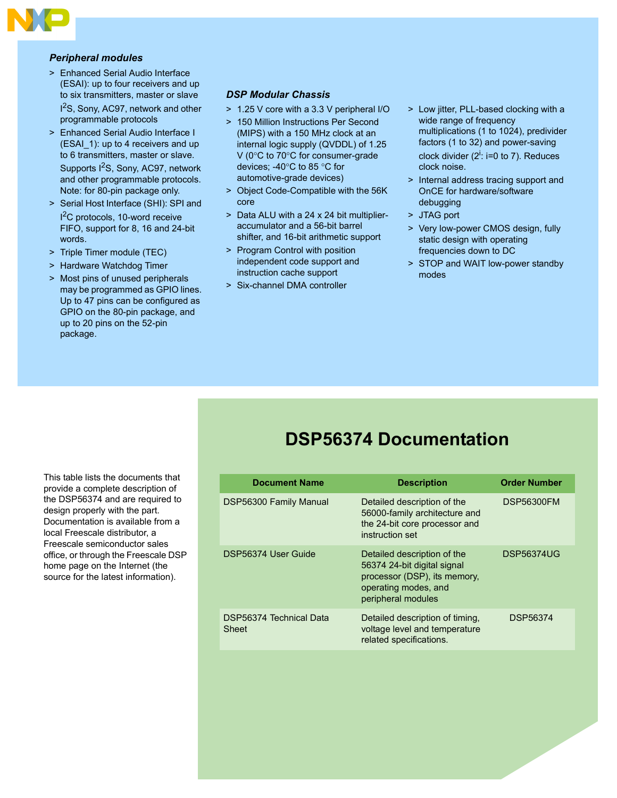

#### *Peripheral modules*

- > Enhanced Serial Audio Interface (ESAI): up to four receivers and up to six transmitters, master or slave 1<sup>2</sup>S, Sony, AC97, network and other programmable protocols
- > Enhanced Serial Audio Interface I (ESAI\_1): up to 4 receivers and up to 6 transmitters, master or slave. Supports I<sup>2</sup>S, Sony, AC97, network and other programmable protocols. Note: for 80-pin package only.
- > Serial Host Interface (SHI): SPI and I 2C protocols, 10-word receive FIFO, support for 8, 16 and 24-bit words.
- > Triple Timer module (TEC)
- > Hardware Watchdog Timer
- > Most pins of unused peripherals may be programmed as GPIO lines. Up to 47 pins can be configured as GPIO on the 80-pin package, and up to 20 pins on the 52-pin package.

## *DSP Modular Chassis*

- > 1.25 V core with a 3.3 V peripheral I/O
- > 150 Million Instructions Per Second (MIPS) with a 150 MHz clock at an internal logic supply (QVDDL) of 1.25 V (0°C to 70°C for consumer-grade devices; -40°C to 85 °C for automotive-grade devices)
- > Object Code-Compatible with the 56K core
- > Data ALU with a 24 x 24 bit multiplieraccumulator and a 56-bit barrel shifter, and 16-bit arithmetic support
- > Program Control with position independent code support and instruction cache support
- > Six-channel DMA controller
- > Low jitter, PLL-based clocking with a wide range of frequency multiplications (1 to 1024), predivider factors (1 to 32) and power-saving clock divider  $(2^i: i=0$  to 7). Reduces clock noise.
- > Internal address tracing support and OnCE for hardware/software debugging
- > JTAG port
- > Very low-power CMOS design, fully static design with operating frequencies down to DC
- > STOP and WAIT low-power standby modes

# **DSP56374 Documentation**

| <b>Document Name</b>             | <b>Description</b>                                                                                                                       | <b>Order Number</b> |  |
|----------------------------------|------------------------------------------------------------------------------------------------------------------------------------------|---------------------|--|
|                                  |                                                                                                                                          |                     |  |
| DSP56300 Family Manual           | Detailed description of the<br>56000-family architecture and<br>the 24-bit core processor and<br>instruction set                         | <b>DSP56300FM</b>   |  |
| DSP56374 User Guide              | Detailed description of the<br>56374 24-bit digital signal<br>processor (DSP), its memory,<br>operating modes, and<br>peripheral modules | <b>DSP56374UG</b>   |  |
| DSP56374 Technical Data<br>Sheet | Detailed description of timing,<br>voltage level and temperature<br>related specifications.                                              | DSP56374            |  |

This table lists the documents that provide a complete description of the DSP56374 and are required to design properly with the part. Documentation is available from a local Freescale distributor, a Freescale semiconductor sales office, or through the Freescale DSP home page on the Internet (the source for the latest information).